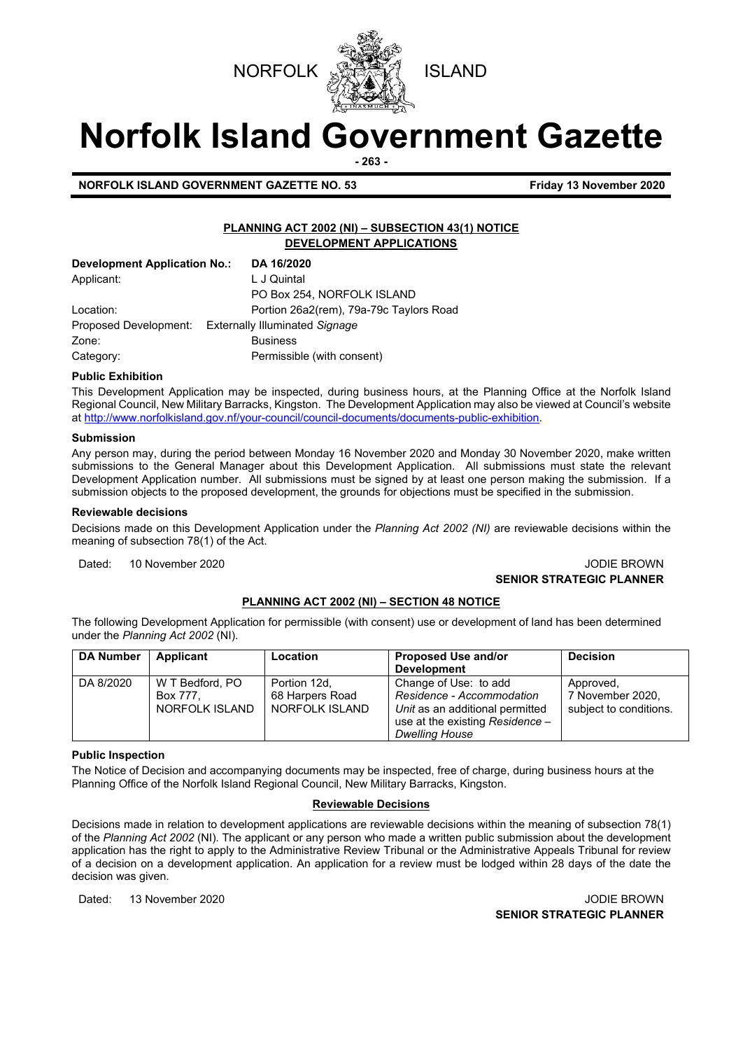



# **Norfolk Island Government Gazette**

**- 263 -**

**NORFOLK ISLAND GOVERNMENT GAZETTE NO. 53 Friday 13 November 2020** 

# **PLANNING ACT 2002 (NI) – SUBSECTION 43(1) NOTICE DEVELOPMENT APPLICATIONS**

| Development Application No.: | DA 16/2020                                           |
|------------------------------|------------------------------------------------------|
| Applicant:                   | L J Quintal                                          |
|                              | PO Box 254, NORFOLK ISLAND                           |
| Location:                    | Portion 26a2(rem), 79a-79c Taylors Road              |
|                              | Proposed Development: Externally Illuminated Signage |
| Zone:                        | <b>Business</b>                                      |
| Category:                    | Permissible (with consent)                           |

#### **Public Exhibition**

This Development Application may be inspected, during business hours, at the Planning Office at the Norfolk Island Regional Council, New Military Barracks, Kingston. The Development Application may also be viewed at Council's website a[t http://www.norfolkisland.gov.nf/your-council/council-documents/documents-public-exhibition.](http://www.norfolkisland.gov.nf/your-council/council-documents/documents-public-exhibition)

#### **Submission**

Any person may, during the period between Monday 16 November 2020 and Monday 30 November 2020, make written submissions to the General Manager about this Development Application. All submissions must state the relevant Development Application number. All submissions must be signed by at least one person making the submission. If a submission objects to the proposed development, the grounds for objections must be specified in the submission.

#### **Reviewable decisions**

Decisions made on this Development Application under the *Planning Act 2002 (NI)* are reviewable decisions within the meaning of subsection 78(1) of the Act.

Dated: 10 November 2020 **JODIE BROWN** 

# **SENIOR STRATEGIC PLANNER**

# **PLANNING ACT 2002 (NI) – SECTION 48 NOTICE**

The following Development Application for permissible (with consent) use or development of land has been determined under the *Planning Act 2002* (NI).

| <b>DA Number</b> | Applicant                                     | <b>Location</b>                                   | <b>Proposed Use and/or</b><br><b>Development</b>                                                                                                  | <b>Decision</b>                                         |
|------------------|-----------------------------------------------|---------------------------------------------------|---------------------------------------------------------------------------------------------------------------------------------------------------|---------------------------------------------------------|
| DA 8/2020        | W T Bedford, PO<br>Box 777.<br>NORFOLK ISLAND | Portion 12d,<br>68 Harpers Road<br>NORFOLK ISLAND | Change of Use: to add<br>Residence - Accommodation<br>Unit as an additional permitted<br>use at the existing Residence -<br><b>Dwelling House</b> | Approved,<br>7 November 2020,<br>subject to conditions. |

#### **Public Inspection**

The Notice of Decision and accompanying documents may be inspected, free of charge, during business hours at the Planning Office of the Norfolk Island Regional Council, New Military Barracks, Kingston.

#### **Reviewable Decisions**

Decisions made in relation to development applications are reviewable decisions within the meaning of subsection 78(1) of the *Planning Act 2002* (NI)*.* The applicant or any person who made a written public submission about the development application has the right to apply to the Administrative Review Tribunal or the Administrative Appeals Tribunal for review of a decision on a development application. An application for a review must be lodged within 28 days of the date the decision was given.

Dated: 13 November 2020 JODIE BROWN **SENIOR STRATEGIC PLANNER**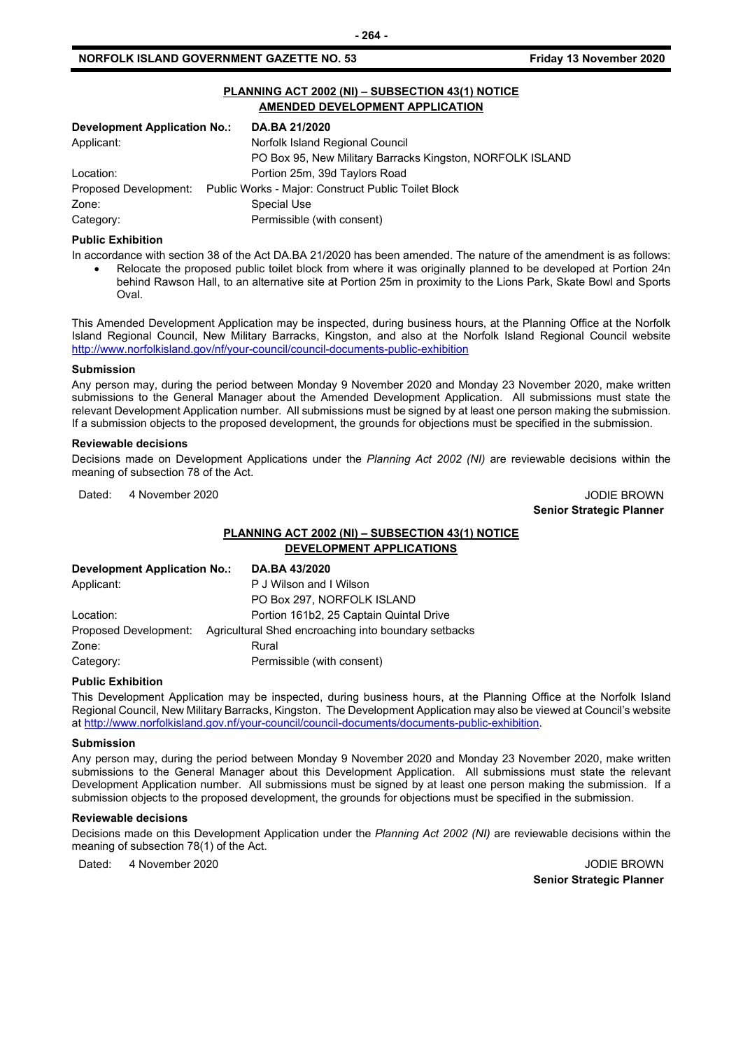# **NORFOLK ISLAND GOVERNMENT GAZETTE NO. 53**

# **PLANNING ACT 2002 (NI) – SUBSECTION 43(1) NOTICE AMENDED DEVELOPMENT APPLICATION**

| <b>Development Application No.:</b> | DA.BA 21/2020                                                             |
|-------------------------------------|---------------------------------------------------------------------------|
| Applicant:                          | Norfolk Island Regional Council                                           |
|                                     | PO Box 95, New Military Barracks Kingston, NORFOLK ISLAND                 |
| Location:                           | Portion 25m, 39d Taylors Road                                             |
|                                     | Proposed Development: Public Works - Major: Construct Public Toilet Block |
| Zone:                               | Special Use                                                               |
| Category:                           | Permissible (with consent)                                                |

#### **Public Exhibition**

In accordance with section 38 of the Act DA.BA 21/2020 has been amended. The nature of the amendment is as follows: • Relocate the proposed public toilet block from where it was originally planned to be developed at Portion 24n behind Rawson Hall, to an alternative site at Portion 25m in proximity to the Lions Park, Skate Bowl and Sports Oval.

This Amended Development Application may be inspected, during business hours, at the Planning Office at the Norfolk Island Regional Council, New Military Barracks, Kingston, and also at the Norfolk Island Regional Council website <http://www.norfolkisland.gov/nf/your-council/council-documents-public-exhibition>

#### **Submission**

Any person may, during the period between Monday 9 November 2020 and Monday 23 November 2020, make written submissions to the General Manager about the Amended Development Application. All submissions must state the relevant Development Application number. All submissions must be signed by at least one person making the submission. If a submission objects to the proposed development, the grounds for objections must be specified in the submission.

#### **Reviewable decisions**

Decisions made on Development Applications under the *Planning Act 2002 (NI)* are reviewable decisions within the meaning of subsection 78 of the Act.

Dated: 4 November 2020 JODIE BROWN

**Senior Strategic Planner** 

# **PLANNING ACT 2002 (NI) – SUBSECTION 43(1) NOTICE DEVELOPMENT APPLICATIONS**

| <b>Development Application No.:</b> | DA.BA 43/2020                                        |
|-------------------------------------|------------------------------------------------------|
| Applicant:                          | P J Wilson and I Wilson                              |
|                                     | PO Box 297, NORFOLK ISLAND                           |
| Location:                           | Portion 161b2, 25 Captain Quintal Drive              |
| Proposed Development:               | Agricultural Shed encroaching into boundary setbacks |
| Zone:                               | Rural                                                |
| Category:                           | Permissible (with consent)                           |

#### **Public Exhibition**

This Development Application may be inspected, during business hours, at the Planning Office at the Norfolk Island Regional Council, New Military Barracks, Kingston. The Development Application may also be viewed at Council's website a[t http://www.norfolkisland.gov.nf/your-council/council-documents/documents-public-exhibition.](http://www.norfolkisland.gov.nf/your-council/council-documents/documents-public-exhibition)

#### **Submission**

Any person may, during the period between Monday 9 November 2020 and Monday 23 November 2020, make written submissions to the General Manager about this Development Application. All submissions must state the relevant Development Application number. All submissions must be signed by at least one person making the submission. If a submission objects to the proposed development, the grounds for objections must be specified in the submission.

#### **Reviewable decisions**

Decisions made on this Development Application under the *Planning Act 2002 (NI)* are reviewable decisions within the meaning of subsection 78(1) of the Act.

Dated: 4 November 2020 **JODIE BROWN** 

**Senior Strategic Planner**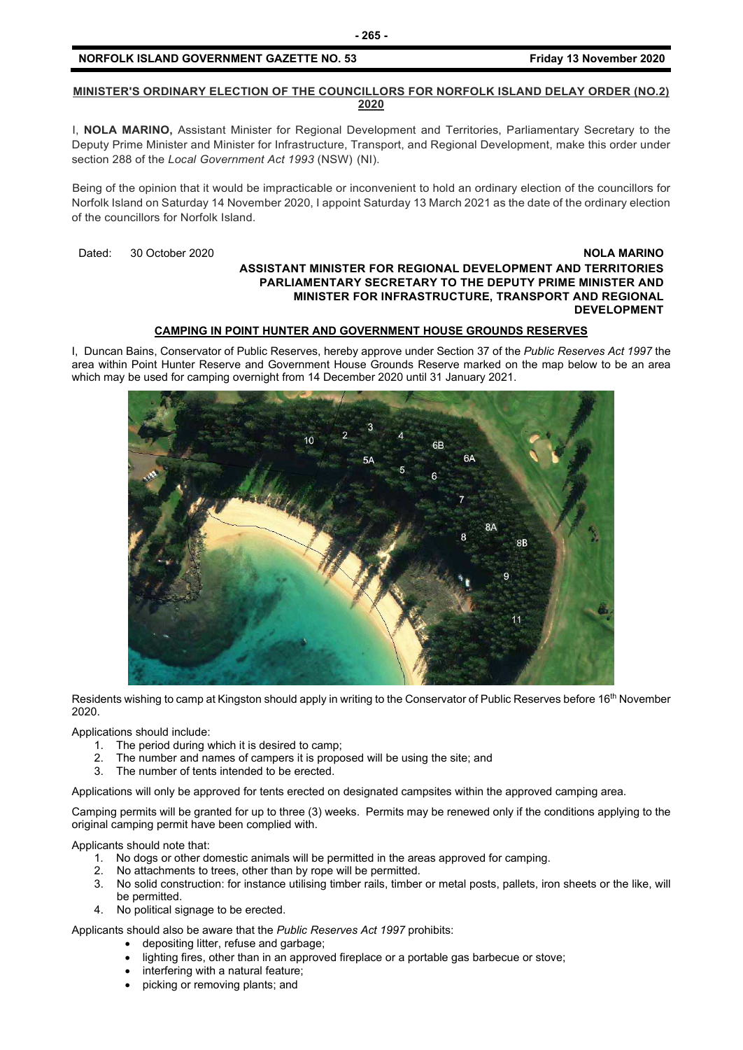# **NORFOLK ISLAND GOVERNMENT GAZETTE NO. 53 Friday 13 November 2020**

# **MINISTER'S ORDINARY ELECTION OF THE COUNCILLORS FOR NORFOLK ISLAND DELAY ORDER (NO.2) 2020**

I, **NOLA MARINO,** Assistant Minister for Regional Development and Territories, Parliamentary Secretary to the Deputy Prime Minister and Minister for Infrastructure, Transport, and Regional Development, make this order under section 288 of the *Local Government Act 1993* (NSW) (NI).

Being of the opinion that it would be impracticable or inconvenient to hold an ordinary election of the councillors for Norfolk Island on Saturday 14 November 2020, I appoint Saturday 13 March 2021 as the date of the ordinary election of the councillors for Norfolk Island.

Dated: 30 October 2020 **NOLA MARINO**

# **ASSISTANT MINISTER FOR REGIONAL DEVELOPMENT AND TERRITORIES PARLIAMENTARY SECRETARY TO THE DEPUTY PRIME MINISTER AND MINISTER FOR INFRASTRUCTURE, TRANSPORT AND REGIONAL DEVELOPMENT**

# **CAMPING IN POINT HUNTER AND GOVERNMENT HOUSE GROUNDS RESERVES**

I, Duncan Bains, Conservator of Public Reserves, hereby approve under Section 37 of the *Public Reserves Act 1997* the area within Point Hunter Reserve and Government House Grounds Reserve marked on the map below to be an area which may be used for camping overnight from 14 December 2020 until 31 January 2021.



Residents wishing to camp at Kingston should apply in writing to the Conservator of Public Reserves before 16<sup>th</sup> November 2020.

Applications should include:

- 1. The period during which it is desired to camp;
- 2. The number and names of campers it is proposed will be using the site; and
- 3. The number of tents intended to be erected.

Applications will only be approved for tents erected on designated campsites within the approved camping area.

Camping permits will be granted for up to three (3) weeks. Permits may be renewed only if the conditions applying to the original camping permit have been complied with.

Applicants should note that:

- 1. No dogs or other domestic animals will be permitted in the areas approved for camping.
- 2. No attachments to trees, other than by rope will be permitted.<br>3. No solid construction: for instance utilising timber rails, timber
- 3. No solid construction: for instance utilising timber rails, timber or metal posts, pallets, iron sheets or the like, will be permitted.
- 4. No political signage to be erected.

Applicants should also be aware that the *Public Reserves Act 1997* prohibits:

- depositing litter, refuse and garbage;
- lighting fires, other than in an approved fireplace or a portable gas barbecue or stove;
- interfering with a natural feature;
- picking or removing plants; and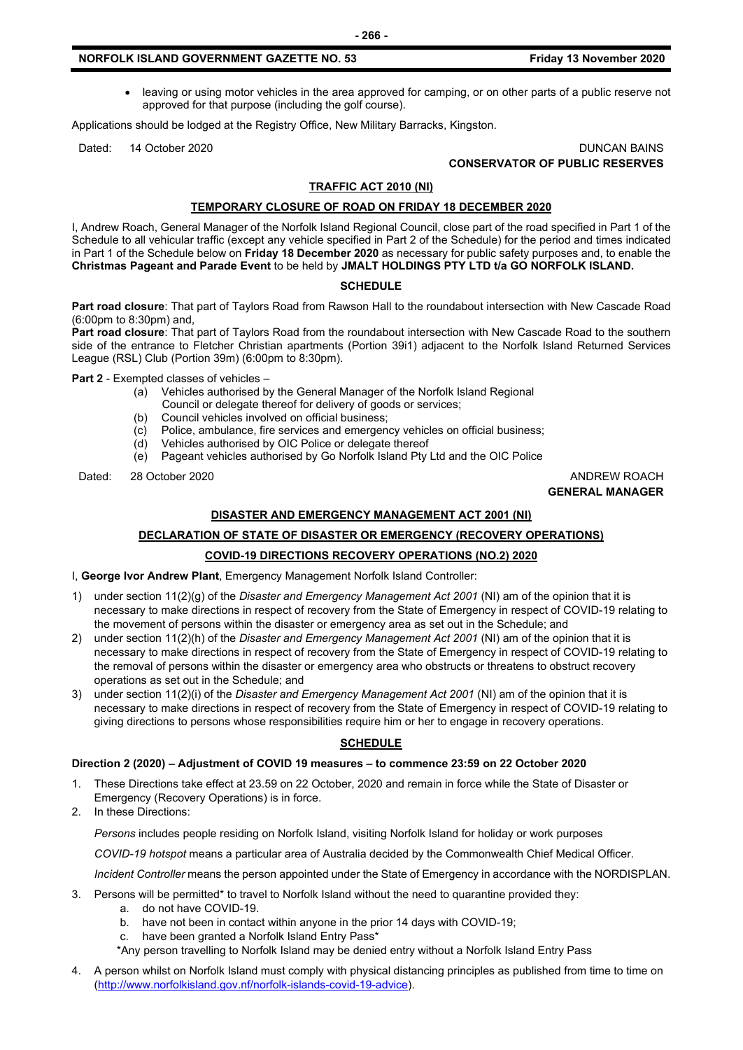### **NORFOLK ISLAND GOVERNMENT GAZETTE NO. 53 Friday 13 November 2020**

• leaving or using motor vehicles in the area approved for camping, or on other parts of a public reserve not approved for that purpose (including the golf course).

Applications should be lodged at the Registry Office, New Military Barracks, Kingston.

Dated: 14 October 2020 DUNCAN BAINS **CONSERVATOR OF PUBLIC RESERVES**

#### **TRAFFIC ACT 2010 (NI)**

#### **TEMPORARY CLOSURE OF ROAD ON FRIDAY 18 DECEMBER 2020**

I, Andrew Roach, General Manager of the Norfolk Island Regional Council, close part of the road specified in Part 1 of the Schedule to all vehicular traffic (except any vehicle specified in Part 2 of the Schedule) for the period and times indicated in Part 1 of the Schedule below on **Friday 18 December 2020** as necessary for public safety purposes and, to enable the **Christmas Pageant and Parade Event** to be held by **JMALT HOLDINGS PTY LTD t/a GO NORFOLK ISLAND.**

#### **SCHEDULE**

**Part road closure**: That part of Taylors Road from Rawson Hall to the roundabout intersection with New Cascade Road (6:00pm to 8:30pm) and,

**Part road closure**: That part of Taylors Road from the roundabout intersection with New Cascade Road to the southern side of the entrance to Fletcher Christian apartments (Portion 39i1) adjacent to the Norfolk Island Returned Services League (RSL) Club (Portion 39m) (6:00pm to 8:30pm).

**Part 2** - Exempted classes of vehicles –

- (a) Vehicles authorised by the General Manager of the Norfolk Island Regional
- Council or delegate thereof for delivery of goods or services;<br>(b) Council vehicles involved on official business;
- (b) Council vehicles involved on official business;<br>(c) Police, ambulance, fire services and emergen
- Police, ambulance, fire services and emergency vehicles on official business;
- (d) Vehicles authorised by OIC Police or delegate thereof
- (e) Pageant vehicles authorised by Go Norfolk Island Pty Ltd and the OIC Police

Dated: 28 October 2020 ANDREW ROACH

**GENERAL MANAGER**

# **DISASTER AND EMERGENCY MANAGEMENT ACT 2001 (NI)**

# **DECLARATION OF STATE OF DISASTER OR EMERGENCY (RECOVERY OPERATIONS)**

# **COVID-19 DIRECTIONS RECOVERY OPERATIONS (NO.2) 2020**

I, **George Ivor Andrew Plant**, Emergency Management Norfolk Island Controller:

- 1) under section 11(2)(g) of the *Disaster and Emergency Management Act 2001* (NI) am of the opinion that it is necessary to make directions in respect of recovery from the State of Emergency in respect of COVID-19 relating to the movement of persons within the disaster or emergency area as set out in the Schedule; and
- 2) under section 11(2)(h) of the *Disaster and Emergency Management Act 2001* (NI) am of the opinion that it is necessary to make directions in respect of recovery from the State of Emergency in respect of COVID-19 relating to the removal of persons within the disaster or emergency area who obstructs or threatens to obstruct recovery operations as set out in the Schedule; and
- 3) under section 11(2)(i) of the *Disaster and Emergency Management Act 2001* (NI) am of the opinion that it is necessary to make directions in respect of recovery from the State of Emergency in respect of COVID-19 relating to giving directions to persons whose responsibilities require him or her to engage in recovery operations.

# **SCHEDULE**

#### **Direction 2 (2020) – Adjustment of COVID 19 measures – to commence 23:59 on 22 October 2020**

- 1. These Directions take effect at 23.59 on 22 October, 2020 and remain in force while the State of Disaster or Emergency (Recovery Operations) is in force.
- 2. In these Directions:

*Persons* includes people residing on Norfolk Island, visiting Norfolk Island for holiday or work purposes

*COVID-19 hotspot* means a particular area of Australia decided by the Commonwealth Chief Medical Officer.

*Incident Controller* means the person appointed under the State of Emergency in accordance with the NORDISPLAN.

- 3. Persons will be permitted\* to travel to Norfolk Island without the need to quarantine provided they:
	- a. do not have COVID-19.
	- b. have not been in contact within anyone in the prior 14 days with COVID-19;
	- c. have been granted a Norfolk Island Entry Pass\*

\*Any person travelling to Norfolk Island may be denied entry without a Norfolk Island Entry Pass

4. A person whilst on Norfolk Island must comply with physical distancing principles as published from time to time on [\(http://www.norfolkisland.gov.nf/norfolk-islands-covid-19-advice\)](http://www.norfolkisland.gov.nf/norfolk-islands-covid-19-advice).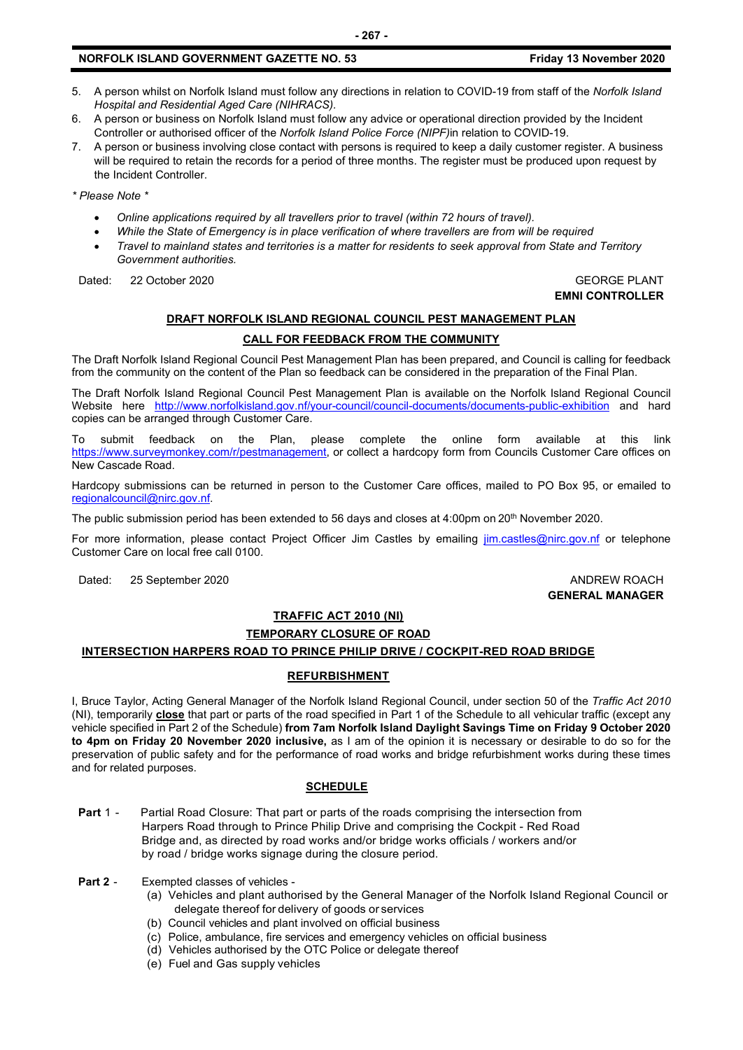- 5. A person whilst on Norfolk Island must follow any directions in relation to COVID-19 from staff of the *Norfolk Island Hospital and Residential Aged Care (NIHRACS).*
- 6. A person or business on Norfolk Island must follow any advice or operational direction provided by the Incident Controller or authorised officer of the *Norfolk Island Police Force (NIPF)*in relation to COVID-19.
- 7. A person or business involving close contact with persons is required to keep a daily customer register. A business will be required to retain the records for a period of three months. The register must be produced upon request by the Incident Controller.

*\* Please Note \** 

- *Online applications required by all travellers prior to travel (within 72 hours of travel).*
- *While the State of Emergency is in place verification of where travellers are from will be required*
- *Travel to mainland states and territories is a matter for residents to seek approval from State and Territory Government authorities.*

Dated: 22 October 2020 GEORGE PLANT

# **EMNI CONTROLLER**

#### **DRAFT NORFOLK ISLAND REGIONAL COUNCIL PEST MANAGEMENT PLAN**

#### **CALL FOR FEEDBACK FROM THE COMMUNITY**

The Draft Norfolk Island Regional Council Pest Management Plan has been prepared, and Council is calling for feedback from the community on the content of the Plan so feedback can be considered in the preparation of the Final Plan.

The Draft Norfolk Island Regional Council Pest Management Plan is available on the Norfolk Island Regional Council Website here <http://www.norfolkisland.gov.nf/your-council/council-documents/documents-public-exhibition> and hard copies can be arranged through Customer Care.

To submit feedback on the Plan, please complete the online form available at this link [https://www.surveymonkey.com/r/pestmanagement,](https://www.surveymonkey.com/r/pestmanagement) or collect a hardcopy form from Councils Customer Care offices on New Cascade Road.

Hardcopy submissions can be returned in person to the Customer Care offices, mailed to PO Box 95, or emailed to [regionalcouncil@nirc.gov.nf.](mailto:regionalcouncil@nirc.gov.nf)

The public submission period has been extended to 56 days and closes at 4:00pm on 20<sup>th</sup> November 2020.

For more information, please contact Project Officer Jim Castles by emailing *[jim.castles@nirc.gov.nf](mailto:jim.castles@nirc.gov.nf)* or telephone Customer Care on local free call 0100.

Dated: 25 September 2020 **ANDREW ROACH ANDREW ROACH** 

# **GENERAL MANAGER**

# **TRAFFIC ACT 2010 (NI) TEMPORARY CLOSURE OF ROAD**

# **INTERSECTION HARPERS ROAD TO PRINCE PHILIP DRIVE / COCKPIT-RED ROAD BRIDGE**

# **REFURBISHMENT**

I, Bruce Taylor, Acting General Manager of the Norfolk Island Regional Council, under section 50 of the *Traffic Act 2010* (NI), temporarily **close** that part or parts of the road specified in Part 1 of the Schedule to all vehicular traffic (except any vehicle specified in Part 2 of the Schedule) **from 7am Norfolk Island Daylight Savings Time on Friday 9 October 2020 to 4pm on Friday 20 November 2020 inclusive,** as I am of the opinion it is necessary or desirable to do so for the preservation of public safety and for the performance of road works and bridge refurbishment works during these times and for related purposes.

# **SCHEDULE**

**Part** 1 - Partial Road Closure: That part or parts of the roads comprising the intersection from Harpers Road through to Prince Philip Drive and comprising the Cockpit - Red Road Bridge and, as directed by road works and/or bridge works officials / workers and/or by road / bridge works signage during the closure period.

**Part 2** - Exempted classes of vehicles -

- (a) Vehicles and plant authorised by the General Manager of the Norfolk Island Regional Council or delegate thereof for delivery of goods or services
- (b) Council vehicles and plant involved on official business
- (c) Police, ambulance, fire services and emergency vehicles on official business
- (d) Vehicles authorised by the OTC Police or delegate thereof
- (e) Fuel and Gas supply vehicles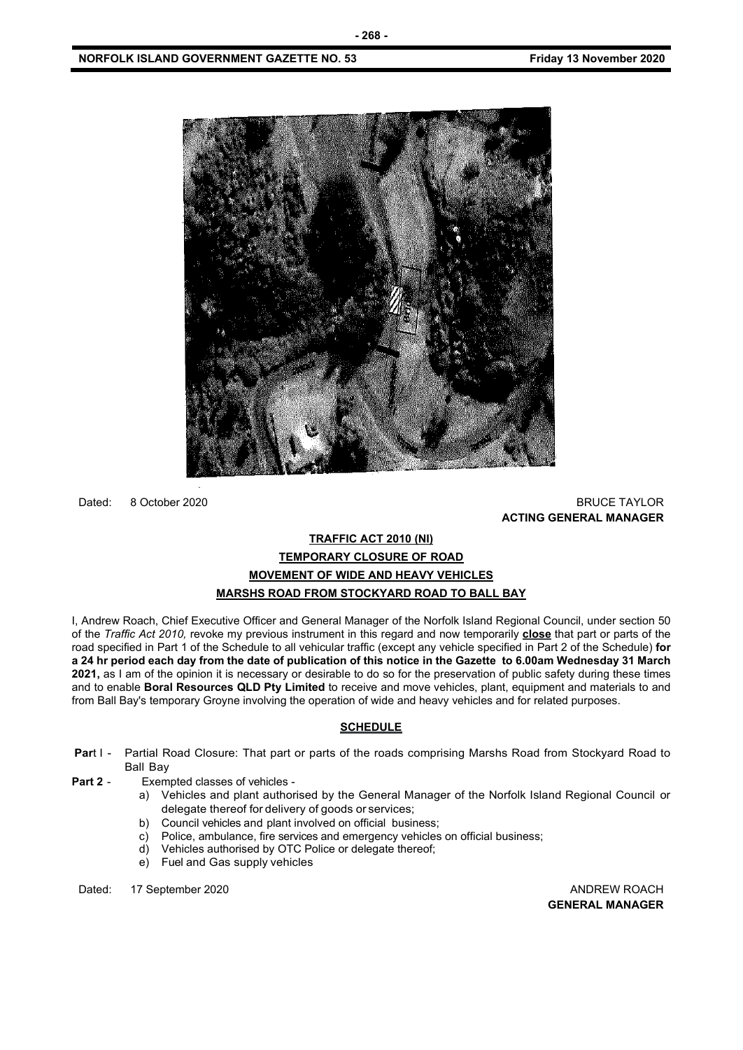

Dated: 8 October 2020 BRUCE TAYLOR

**ACTING GENERAL MANAGER**

# **TRAFFIC ACT 2010 (NI) TEMPORARY CLOSURE OF ROAD MOVEMENT OF WIDE AND HEAVY VEHICLES MARSHS ROAD FROM STOCKYARD ROAD TO BALL BAY**

I, Andrew Roach, Chief Executive Officer and General Manager of the Norfolk Island Regional Council, under section 50 of the *Traffic Act 2010,* revoke my previous instrument in this regard and now temporarily **close** that part or parts of the road specified in Part 1 of the Schedule to all vehicular traffic (except any vehicle specified in Part 2 of the Schedule) **for a 24 hr period each day from the date of publication of this notice in the Gazette to 6.00am Wednesday 31 March 2021,** as I am of the opinion it is necessary or desirable to do so for the preservation of public safety during these times and to enable **Boral Resources QLD Pty Limited** to receive and move vehicles, plant, equipment and materials to and from Ball Bay's temporary Groyne involving the operation of wide and heavy vehicles and for related purposes.

# **SCHEDULE**

- **Par**t I Partial Road Closure: That part or parts of the roads comprising Marshs Road from Stockyard Road to Ball Bay
- **Part 2** Exempted classes of vehicles
	- a) Vehicles and plant authorised by the General Manager of the Norfolk Island Regional Council or delegate thereof for delivery of goods or services;
	- b) Council vehicles and plant involved on official business;
	- c) Police, ambulance, fire services and emergency vehicles on official business;
	- d) Vehicles authorised by OTC Police or delegate thereof;
	- e) Fuel and Gas supply vehicles

Dated: 17 September 2020 **ANDREW ROACH ANDREW ROACH** 

**GENERAL MANAGER**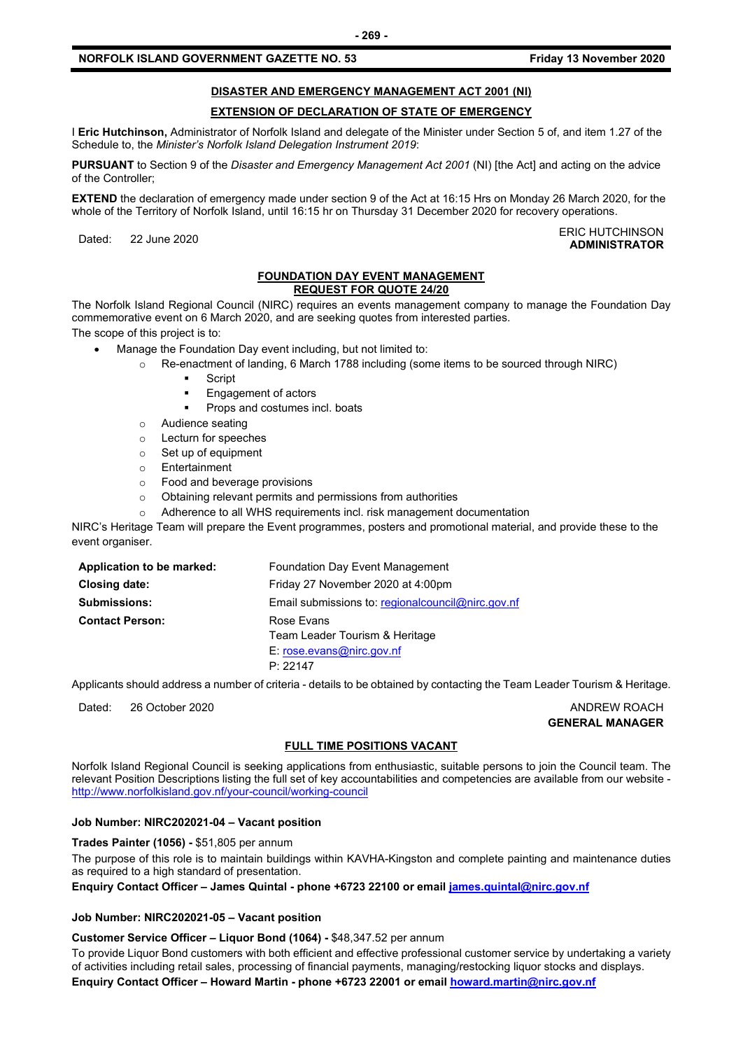#### **NORFOLK ISLAND GOVERNMENT GAZETTE NO. 53 Friday 13 November 2020**

# **DISASTER AND EMERGENCY MANAGEMENT ACT 2001 (NI)**

#### **EXTENSION OF DECLARATION OF STATE OF EMERGENCY**

I **Eric Hutchinson,** Administrator of Norfolk Island and delegate of the Minister under Section 5 of, and item 1.27 of the Schedule to, the *Minister's Norfolk Island Delegation Instrument 2019*:

**PURSUANT** to Section 9 of the *Disaster and Emergency Management Act 2001* (NI) [the Act] and acting on the advice of the Controller;

**EXTEND** the declaration of emergency made under section 9 of the Act at 16:15 Hrs on Monday 26 March 2020, for the whole of the Territory of Norfolk Island, until 16:15 hr on Thursday 31 December 2020 for recovery operations.

Dated: 22 June 2020<br>Dated: 22 June 2020 **ADMINISTRATOR**

#### **FOUNDATION DAY EVENT MANAGEMENT REQUEST FOR QUOTE 24/20**

The Norfolk Island Regional Council (NIRC) requires an events management company to manage the Foundation Day commemorative event on 6 March 2020, and are seeking quotes from interested parties.

The scope of this project is to:

- Manage the Foundation Day event including, but not limited to:
	- o Re-enactment of landing, 6 March 1788 including (some items to be sourced through NIRC)
		- **Script**
		- Engagement of actors
		- Props and costumes incl. boats
	- o Audience seating
	- o Lecturn for speeches
	- o Set up of equipment
	- o Entertainment
	- Food and beverage provisions
	- o Obtaining relevant permits and permissions from authorities
	- o Adherence to all WHS requirements incl. risk management documentation

NIRC's Heritage Team will prepare the Event programmes, posters and promotional material, and provide these to the event organiser.

| Application to be marked: | Foundation Day Event Management                     |
|---------------------------|-----------------------------------------------------|
| <b>Closing date:</b>      | Friday 27 November 2020 at 4:00pm                   |
| <b>Submissions:</b>       | Email submissions to: regional council @nirc.gov.nf |
| <b>Contact Person:</b>    | Rose Evans                                          |
|                           | Team Leader Tourism & Heritage                      |
|                           | E: rose.evans@nirc.gov.nf                           |
|                           | P: 22147                                            |

Applicants should address a number of criteria - details to be obtained by contacting the Team Leader Tourism & Heritage.

Dated: 26 October 2020 ANDREW ROACH

**GENERAL MANAGER**

#### **FULL TIME POSITIONS VACANT**

Norfolk Island Regional Council is seeking applications from enthusiastic, suitable persons to join the Council team. The relevant Position Descriptions listing the full set of key accountabilities and competencies are available from our website <http://www.norfolkisland.gov.nf/your-council/working-council>

#### **Job Number: NIRC202021-04 – Vacant position**

**Trades Painter (1056) -** \$51,805 per annum The purpose of this role is to maintain buildings within KAVHA-Kingston and complete painting and maintenance duties as required to a high standard of presentation.

**Enquiry Contact Officer – James Quintal - phone +6723 22100 or email [james.quintal@nirc.gov.nf](mailto:james.quintal@nirc.gov.nf)**

#### **Job Number: NIRC202021-05 – Vacant position**

**Customer Service Officer – Liquor Bond (1064) -** \$48,347.52 per annum

To provide Liquor Bond customers with both efficient and effective professional customer service by undertaking a variety of activities including retail sales, processing of financial payments, managing/restocking liquor stocks and displays. **Enquiry Contact Officer – Howard Martin - phone +6723 22001 or email [howard.martin@nirc.gov.nf](mailto:howard.martin@nirc.gov.nf)**